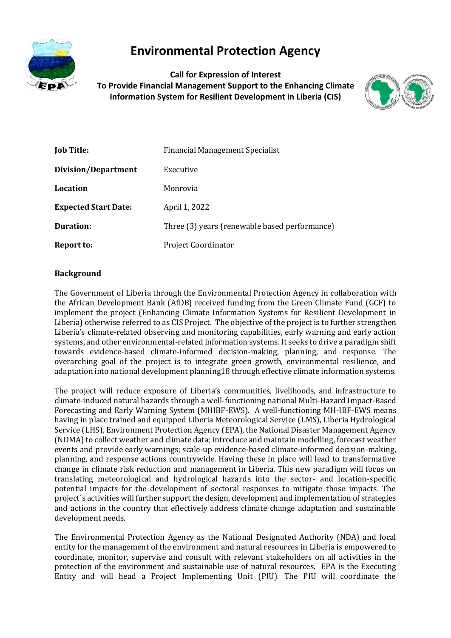

# **Environmental Protection Agency**

**Call for Expression of Interest To Provide Financial Management Support to the Enhancing Climate Information System for Resilient Development in Liberia (CIS)**



| <b>Job Title:</b>           | Financial Management Specialist               |
|-----------------------------|-----------------------------------------------|
| Division/Department         | Executive                                     |
| Location                    | Monrovia                                      |
| <b>Expected Start Date:</b> | April 1, 2022                                 |
| Duration:                   | Three (3) years (renewable based performance) |
| Report to:                  | <b>Project Coordinator</b>                    |

## **Background**

The Government of Liberia through the Environmental Protection Agency in collaboration with the African Development Bank (AfDB) received funding from the Green Climate Fund (GCF) to implement the project (Enhancing Climate Information Systems for Resilient Development in Liberia) otherwise referred to as CIS Project. The objective of the project is to further strengthen Liberia's climate-related observing and monitoring capabilities, early warning and early action systems, and other environmental-related information systems. It seeks to drive a paradigm shift towards evidence-based climate-informed decision-making, planning, and response. The overarching goal of the project is to integrate green growth, environmental resilience, and adaptation into national development planning18 through effective climate information systems.

The project will reduce exposure of Liberia's communities, livelihoods, and infrastructure to climate-induced natural hazards through a well-functioning national Multi-Hazard Impact-Based Forecasting and Early Warning System (MHIBF-EWS). A well-functioning MH-IBF-EWS means having in place trained and equipped Liberia Meteorological Service (LMS), Liberia Hydrological Service (LHS), Environment Protection Agency (EPA), the National Disaster Management Agency (NDMA) to collect weather and climate data; introduce and maintain modelling, forecast weather events and provide early warnings; scale-up evidence-based climate-informed decision-making, planning, and response actions countrywide. Having these in place will lead to transformative change in climate risk reduction and management in Liberia. This new paradigm will focus on translating meteorological and hydrological hazards into the sector- and location-specific potential impacts for the development of sectoral responses to mitigate those impacts. The project´s activities will further support the design, development and implementation of strategies and actions in the country that effectively address climate change adaptation and sustainable development needs.

The Environmental Protection Agency as the National Designated Authority (NDA) and focal entity for the management of the environment and natural resources in Liberia is empowered to coordinate, monitor, supervise and consult with relevant stakeholders on all activities in the protection of the environment and sustainable use of natural resources. EPA is the Executing Entity and will head a Project Implementing Unit (PIU). The PIU will coordinate the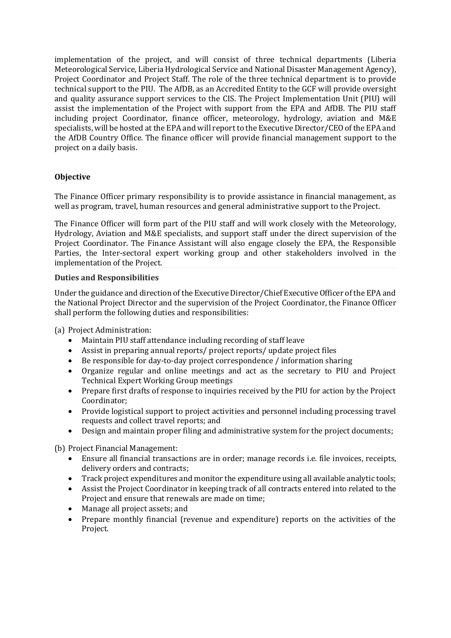implementation of the project, and will consist of three technical departments (Liberia Meteorological Service, Liberia Hydrological Service and National Disaster Management Agency), Project Coordinator and Project Staff. The role of the three technical department is to provide technical support to the PIU. The AfDB, as an Accredited Entity to the GCF will provide oversight and quality assurance support services to the CIS. The Project Implementation Unit (PIU) will assist the implementation of the Project with support from the EPA and AfDB. The PIU staff including project Coordinator, finance officer, meteorology, hydrology, aviation and M&E specialists, will be hosted at the EPA and will report to the Executive Director/CEO of the EPA and the AfDB Country Office. The finance officer will provide financial management support to the project on a daily basis.

# **Objective**

The Finance Officer primary responsibility is to provide assistance in financial management, as well as program, travel, human resources and general administrative support to the Project.

The Finance Officer will form part of the PIU staff and will work closely with the Meteorology, Hydrology, Aviation and M&E specialists, and support staff under the direct supervision of the Project Coordinator. The Finance Assistant will also engage closely the EPA, the Responsible Parties, the Inter-sectoral expert working group and other stakeholders involved in the implementation of the Project.

#### **Duties and Responsibilities**

Under the guidance and direction of the Executive Director/Chief Executive Officer of the EPA and the National Project Director and the supervision of the Project Coordinator, the Finance Officer shall perform the following duties and responsibilities:

(a) Project Administration:

- Maintain PIU staff attendance including recording of staff leave
- Assist in preparing annual reports/ project reports/ update project files
- Be responsible for day-to-day project correspondence / information sharing
- Organize regular and online meetings and act as the secretary to PIU and Project Technical Expert Working Group meetings
- Prepare first drafts of response to inquiries received by the PIU for action by the Project Coordinator;
- Provide logistical support to project activities and personnel including processing travel requests and collect travel reports; and
- Design and maintain proper filing and administrative system for the project documents;

(b) Project Financial Management:

- Ensure all financial transactions are in order; manage records i.e. file invoices, receipts, delivery orders and contracts;
- Track project expenditures and monitor the expenditure using all available analytic tools;
- Assist the Project Coordinator in keeping track of all contracts entered into related to the Project and ensure that renewals are made on time;
- Manage all project assets; and
- Prepare monthly financial (revenue and expenditure) reports on the activities of the Project.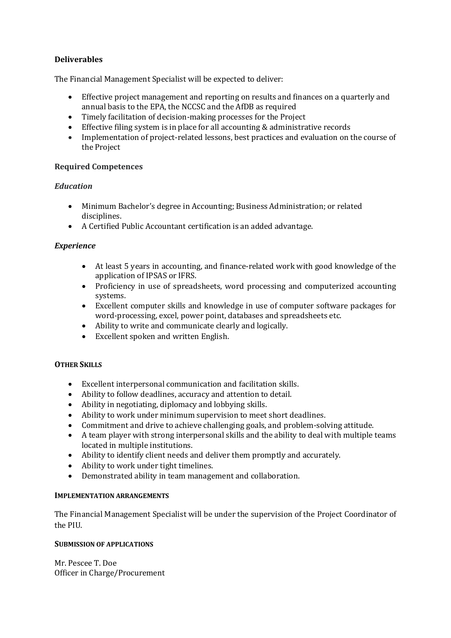# **Deliverables**

The Financial Management Specialist will be expected to deliver:

- Effective project management and reporting on results and finances on a quarterly and annual basis to the EPA, the NCCSC and the AfDB as required
- Timely facilitation of decision-making processes for the Project
- Effective filing system is in place for all accounting & administrative records
- Implementation of project-related lessons, best practices and evaluation on the course of the Project

## **Required Competences**

## *Education*

- Minimum Bachelor's degree in Accounting; Business Administration; or related disciplines.
- A Certified Public Accountant certification is an added advantage.

## *Experience*

- At least 5 years in accounting, and finance-related work with good knowledge of the application of IPSAS or IFRS.
- Proficiency in use of spreadsheets, word processing and computerized accounting systems.
- Excellent computer skills and knowledge in use of computer software packages for word-processing, excel, power point, databases and spreadsheets etc.
- Ability to write and communicate clearly and logically.
- Excellent spoken and written English.

## **OTHER SKILLS**

- Excellent interpersonal communication and facilitation skills.
- Ability to follow deadlines, accuracy and attention to detail.
- Ability in negotiating, diplomacy and lobbying skills.
- Ability to work under minimum supervision to meet short deadlines.
- Commitment and drive to achieve challenging goals, and problem-solving attitude.
- A team player with strong interpersonal skills and the ability to deal with multiple teams located in multiple institutions.
- Ability to identify client needs and deliver them promptly and accurately.
- Ability to work under tight timelines.
- Demonstrated ability in team management and collaboration.

#### **IMPLEMENTATION ARRANGEMENTS**

The Financial Management Specialist will be under the supervision of the Project Coordinator of the PIU.

#### **SUBMISSION OF APPLICATIONS**

Mr. Pescee T. Doe Officer in Charge/Procurement